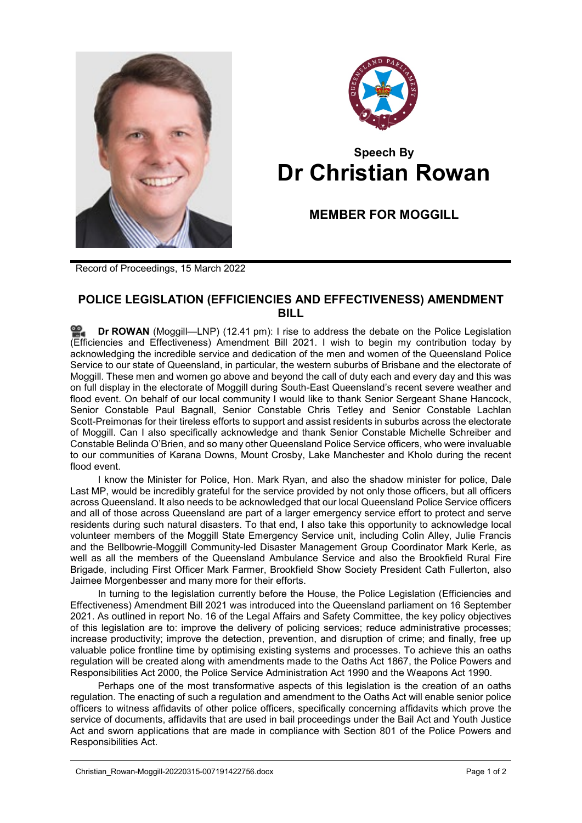



## **Speech By Dr Christian Rowan**

**MEMBER FOR MOGGILL**

Record of Proceedings, 15 March 2022

## **POLICE LEGISLATION (EFFICIENCIES AND EFFECTIVENESS) AMENDMENT BILL**

**Dr [ROWAN](http://www.parliament.qld.gov.au/docs/find.aspx?id=0Mba20220315_124146)** (Moggill—LNP) (12.41 pm): I rise to address the debate on the Police Legislation (Efficiencies and Effectiveness) Amendment Bill 2021. I wish to begin my contribution today by acknowledging the incredible service and dedication of the men and women of the Queensland Police Service to our state of Queensland, in particular, the western suburbs of Brisbane and the electorate of Moggill. These men and women go above and beyond the call of duty each and every day and this was on full display in the electorate of Moggill during South-East Queensland's recent severe weather and flood event. On behalf of our local community I would like to thank Senior Sergeant Shane Hancock, Senior Constable Paul Bagnall, Senior Constable Chris Tetley and Senior Constable Lachlan Scott-Preimonas for their tireless efforts to support and assist residents in suburbs across the electorate of Moggill. Can I also specifically acknowledge and thank Senior Constable Michelle Schreiber and Constable Belinda O'Brien, and so many other Queensland Police Service officers, who were invaluable to our communities of Karana Downs, Mount Crosby, Lake Manchester and Kholo during the recent flood event.

I know the Minister for Police, Hon. Mark Ryan, and also the shadow minister for police, Dale Last MP, would be incredibly grateful for the service provided by not only those officers, but all officers across Queensland. It also needs to be acknowledged that our local Queensland Police Service officers and all of those across Queensland are part of a larger emergency service effort to protect and serve residents during such natural disasters. To that end, I also take this opportunity to acknowledge local volunteer members of the Moggill State Emergency Service unit, including Colin Alley, Julie Francis and the Bellbowrie-Moggill Community-led Disaster Management Group Coordinator Mark Kerle, as well as all the members of the Queensland Ambulance Service and also the Brookfield Rural Fire Brigade, including First Officer Mark Farmer, Brookfield Show Society President Cath Fullerton, also Jaimee Morgenbesser and many more for their efforts.

In turning to the legislation currently before the House, the Police Legislation (Efficiencies and Effectiveness) Amendment Bill 2021 was introduced into the Queensland parliament on 16 September 2021. As outlined in report No. 16 of the Legal Affairs and Safety Committee, the key policy objectives of this legislation are to: improve the delivery of policing services; reduce administrative processes; increase productivity; improve the detection, prevention, and disruption of crime; and finally, free up valuable police frontline time by optimising existing systems and processes. To achieve this an oaths regulation will be created along with amendments made to the Oaths Act 1867, the Police Powers and Responsibilities Act 2000, the Police Service Administration Act 1990 and the Weapons Act 1990.

Perhaps one of the most transformative aspects of this legislation is the creation of an oaths regulation. The enacting of such a regulation and amendment to the Oaths Act will enable senior police officers to witness affidavits of other police officers, specifically concerning affidavits which prove the service of documents, affidavits that are used in bail proceedings under the Bail Act and Youth Justice Act and sworn applications that are made in compliance with Section 801 of the Police Powers and Responsibilities Act.